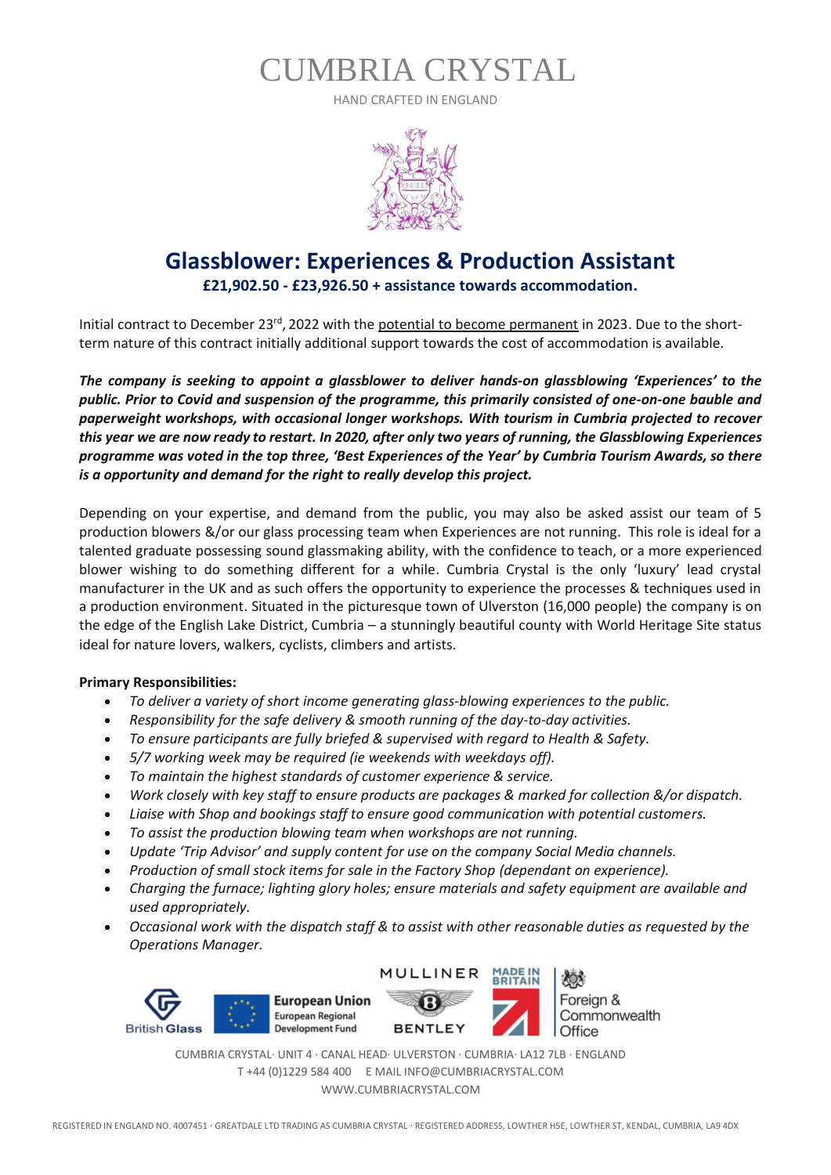HAND CRAFTED IN ENGLAND



### **Glassblower: Experiences & Production Assistant**

**£21,902.50 - £23,926.50 + assistance towards accommodation.**

Initial contract to December 23<sup>rd</sup>, 2022 with the <u>potential to become permanent</u> in 2023. Due to the shortterm nature of this contract initially additional support towards the cost of accommodation is available.

*The company is seeking to appoint a glassblower to deliver hands-on glassblowing 'Experiences' to the public. Prior to Covid and suspension of the programme, this primarily consisted of one-on-one bauble and paperweight workshops, with occasional longer workshops. With tourism in Cumbria projected to recover this year we are now ready to restart. In 2020, after only two years of running, the Glassblowing Experiences programme was voted in the top three, 'Best Experiences of the Year' by Cumbria Tourism Awards, so there is a opportunity and demand for the right to really develop this project.*

Depending on your expertise, and demand from the public, you may also be asked assist our team of 5 production blowers &/or our glass processing team when Experiences are not running. This role is ideal for a talented graduate possessing sound glassmaking ability, with the confidence to teach, or a more experienced blower wishing to do something different for a while. Cumbria Crystal is the only 'luxury' lead crystal manufacturer in the UK and as such offers the opportunity to experience the processes & techniques used in a production environment. Situated in the picturesque town of Ulverston (16,000 people) the company is on the edge of the English Lake District, Cumbria – a stunningly beautiful county with World Heritage Site status ideal for nature lovers, walkers, cyclists, climbers and artists.

#### **Primary Responsibilities:**

- *To deliver a variety of short income generating glass-blowing experiences to the public.*
- *Responsibility for the safe delivery & smooth running of the day-to-day activities.*
- *To ensure participants are fully briefed & supervised with regard to Health & Safety.*
- *5/7 working week may be required (ie weekends with weekdays off).*
- *To maintain the highest standards of customer experience & service.*
- *Work closely with key staff to ensure products are packages & marked for collection &/or dispatch.*
- *Liaise with Shop and bookings staff to ensure good communication with potential customers.*
- *To assist the production blowing team when workshops are not running.*
- *Update 'Trip Advisor' and supply content for use on the company Social Media channels.*
- *Production of small stock items for sale in the Factory Shop (dependant on experience).*
- *Charging the furnace; lighting glory holes; ensure materials and safety equipment are available and used appropriately.*
- *Occasional work with the dispatch staff & to assist with other reasonable duties as requested by the Operations Manager.*



Foreign & Commonwealth Office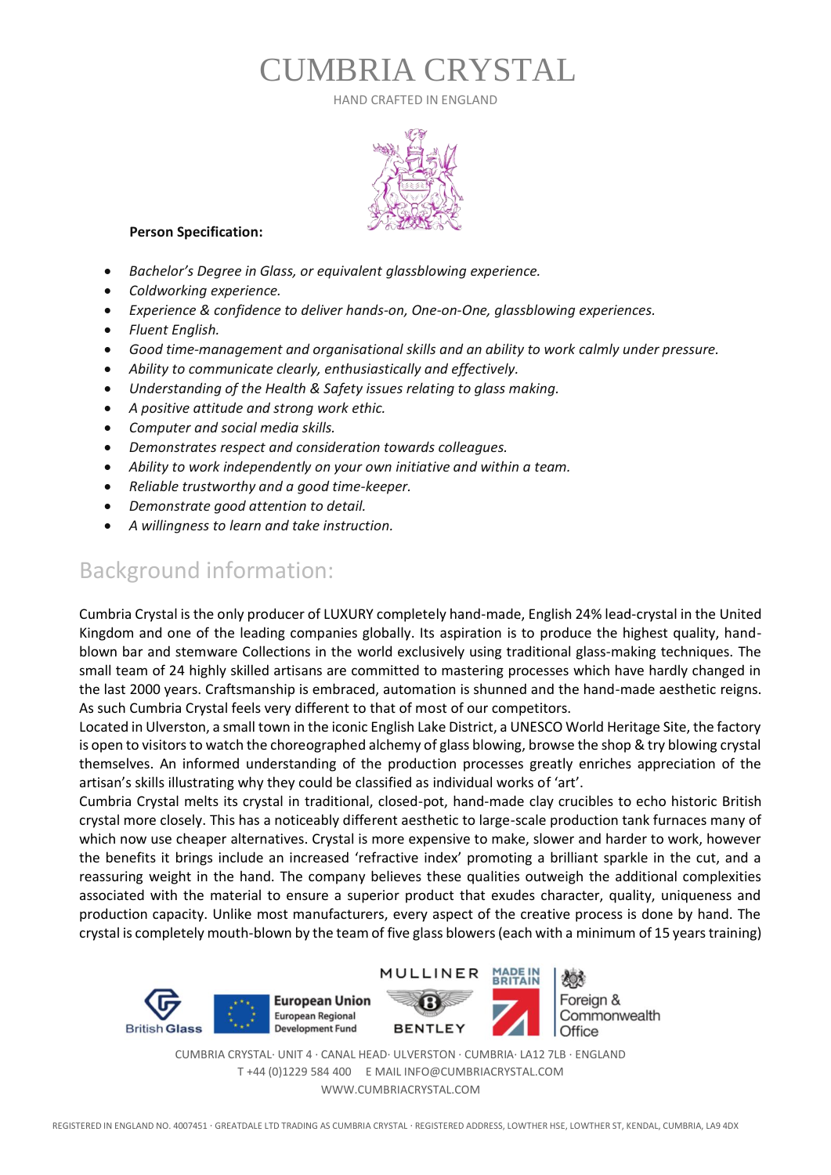HAND CRAFTED IN ENGLAND



#### **Person Specification:**

- *Bachelor's Degree in Glass, or equivalent glassblowing experience.*
- *Coldworking experience.*
- *Experience & confidence to deliver hands-on, One-on-One, glassblowing experiences.*
- *Fluent English.*
- *Good time-management and organisational skills and an ability to work calmly under pressure.*
- *Ability to communicate clearly, enthusiastically and effectively.*
- *Understanding of the Health & Safety issues relating to glass making.*
- *A positive attitude and strong work ethic.*
- *Computer and social media skills.*
- *Demonstrates respect and consideration towards colleagues.*
- *Ability to work independently on your own initiative and within a team.*
- *Reliable trustworthy and a good time-keeper.*
- *Demonstrate good attention to detail.*
- *A willingness to learn and take instruction.*

### Background information:

Cumbria Crystal is the only producer of LUXURY completely hand-made, English 24% lead-crystal in the United Kingdom and one of the leading companies globally. Its aspiration is to produce the highest quality, handblown bar and stemware Collections in the world exclusively using traditional glass-making techniques. The small team of 24 highly skilled artisans are committed to mastering processes which have hardly changed in the last 2000 years. Craftsmanship is embraced, automation is shunned and the hand-made aesthetic reigns. As such Cumbria Crystal feels very different to that of most of our competitors.

Located in Ulverston, a small town in the iconic English Lake District, a UNESCO World Heritage Site, the factory is open to visitors to watch the choreographed alchemy of glass blowing, browse the shop & try blowing crystal themselves. An informed understanding of the production processes greatly enriches appreciation of the artisan's skills illustrating why they could be classified as individual works of 'art'.

Cumbria Crystal melts its crystal in traditional, closed-pot, hand-made clay crucibles to echo historic British crystal more closely. This has a noticeably different aesthetic to large-scale production tank furnaces many of which now use cheaper alternatives. Crystal is more expensive to make, slower and harder to work, however the benefits it brings include an increased 'refractive index' promoting a brilliant sparkle in the cut, and a reassuring weight in the hand. The company believes these qualities outweigh the additional complexities associated with the material to ensure a superior product that exudes character, quality, uniqueness and production capacity. Unlike most manufacturers, every aspect of the creative process is done by hand. The crystal is completely mouth-blown by the team of five glass blowers (each with a minimum of 15 years training)

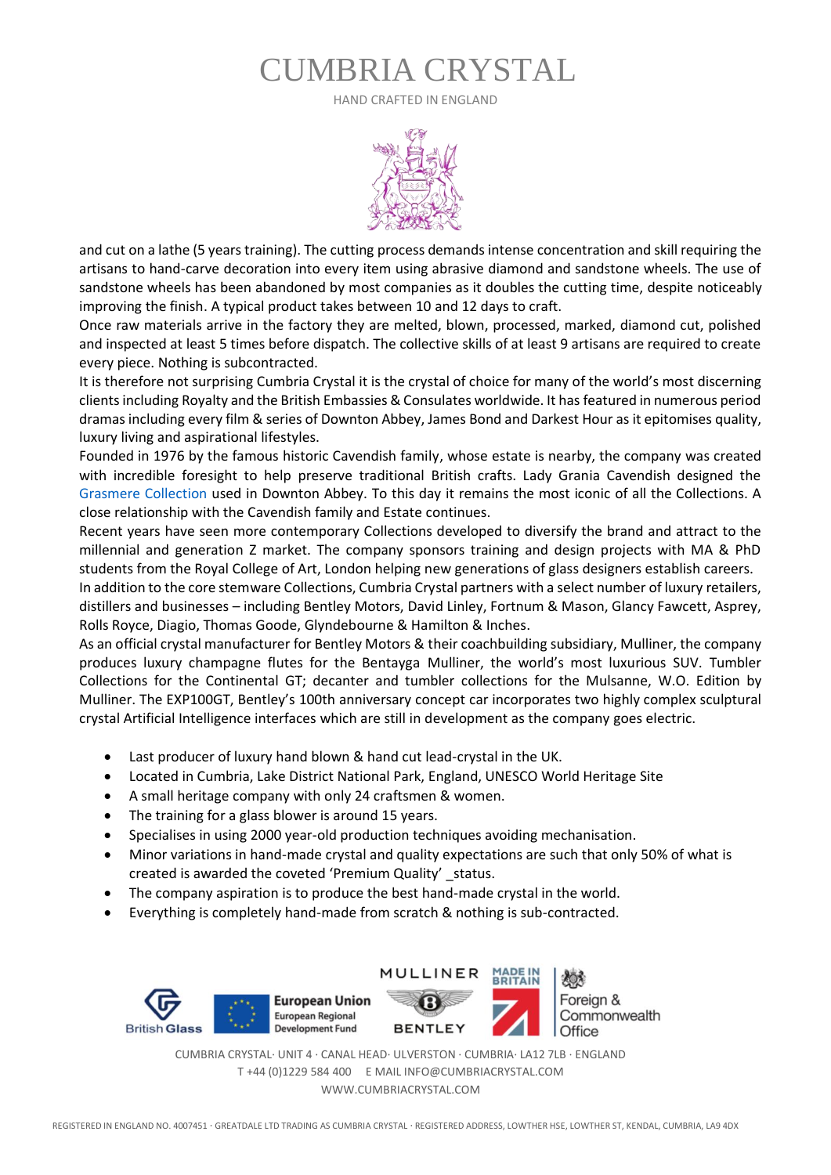HAND CRAFTED IN ENGLAND



and cut on a lathe (5 years training). The cutting process demands intense concentration and skill requiring the artisans to hand-carve decoration into every item using abrasive diamond and sandstone wheels. The use of sandstone wheels has been abandoned by most companies as it doubles the cutting time, despite noticeably improving the finish. A typical product takes between 10 and 12 days to craft.

Once raw materials arrive in the factory they are melted, blown, processed, marked, diamond cut, polished and inspected at least 5 times before dispatch. The collective skills of at least 9 artisans are required to create every piece. Nothing is subcontracted.

It is therefore not surprising Cumbria Crystal it is the crystal of choice for many of the world's most discerning clients including Royalty and the British Embassies & Consulates worldwide. It has featured in numerous period dramas including every film & series of Downton Abbey, James Bond and Darkest Hour as it epitomises quality, luxury living and aspirational lifestyles.

Founded in 1976 by the famous historic Cavendish family, whose estate is nearby, the company was created with incredible foresight to help preserve traditional British crafts. Lady Grania Cavendish designed the Grasmere Collection used in Downton Abbey. To this day it remains the most iconic of all the Collections. A close relationship with the Cavendish family and Estate continues.

Recent years have seen more contemporary Collections developed to diversify the brand and attract to the millennial and generation Z market. The company sponsors training and design projects with MA & PhD students from the Royal College of Art, London helping new generations of glass designers establish careers.

In addition to the core stemware Collections, Cumbria Crystal partners with a select number of luxury retailers, distillers and businesses – including Bentley Motors, David Linley, Fortnum & Mason, Glancy Fawcett, Asprey, Rolls Royce, Diagio, Thomas Goode, Glyndebourne & Hamilton & Inches.

As an official crystal manufacturer for Bentley Motors & their coachbuilding subsidiary, Mulliner, the company produces luxury champagne flutes for the Bentayga Mulliner, the world's most luxurious SUV. Tumbler Collections for the Continental GT; decanter and tumbler collections for the Mulsanne, W.O. Edition by Mulliner. The EXP100GT, Bentley's 100th anniversary concept car incorporates two highly complex sculptural crystal Artificial Intelligence interfaces which are still in development as the company goes electric.

- Last producer of luxury hand blown & hand cut lead-crystal in the UK.
- Located in Cumbria, Lake District National Park, England, UNESCO World Heritage Site
- A small heritage company with only 24 craftsmen & women.
- The training for a glass blower is around 15 years.
- Specialises in using 2000 year-old production techniques avoiding mechanisation.
- Minor variations in hand-made crystal and quality expectations are such that only 50% of what is created is awarded the coveted 'Premium Quality' status.
- The company aspiration is to produce the best hand-made crystal in the world.
- Everything is completely hand-made from scratch & nothing is sub-contracted.

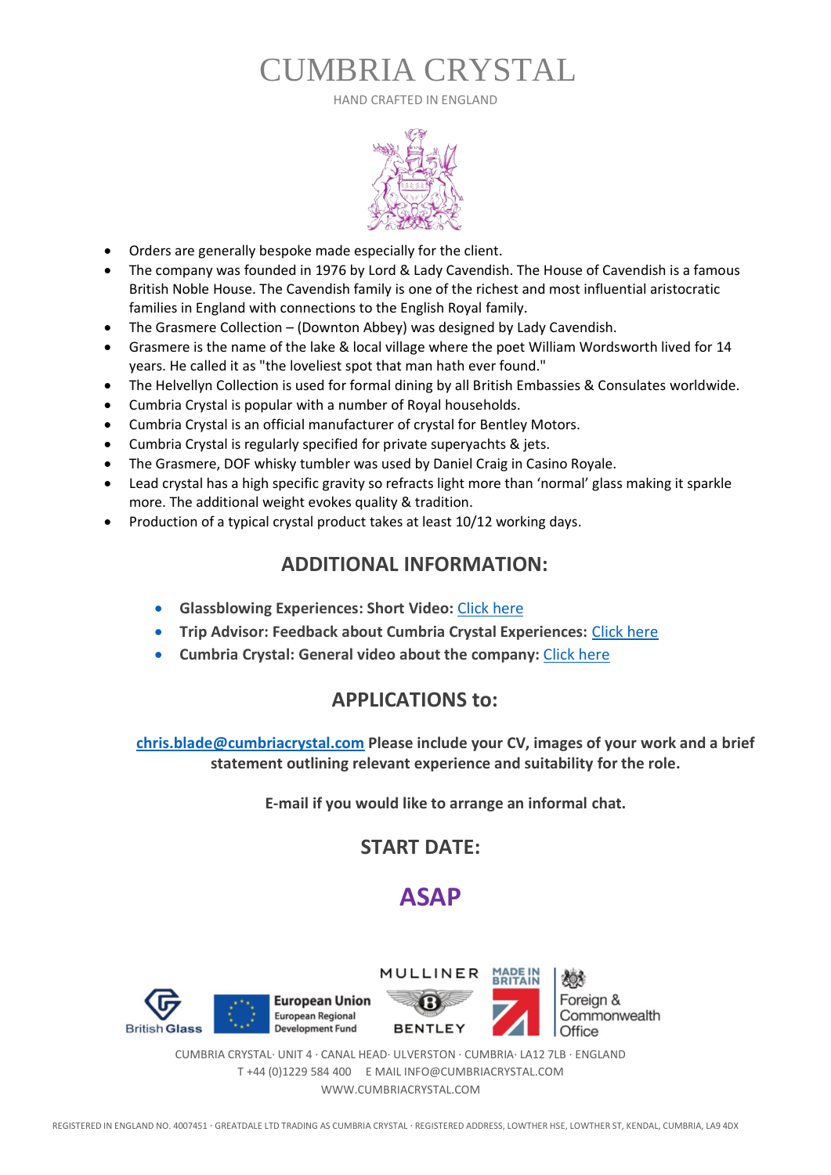HAND CRAFTED IN ENGLAND



- Orders are generally bespoke made especially for the client.
- The company was founded in 1976 by Lord & Lady Cavendish. The House of Cavendish is a famous British Noble House. The Cavendish family is one of the richest and most influential aristocratic families in England with connections to the English Royal family.
- The Grasmere Collection (Downton Abbey) was designed by Lady Cavendish.
- Grasmere is the name of the lake & local village where the poet William Wordsworth lived for 14 years. He called it as "the loveliest spot that man hath ever found."
- The Helvellyn Collection is used for formal dining by all British Embassies & Consulates worldwide.
- Cumbria Crystal is popular with a number of Royal households.
- Cumbria Crystal is an official manufacturer of crystal for Bentley Motors.
- Cumbria Crystal is regularly specified for private superyachts & jets.
- The Grasmere, DOF whisky tumbler was used by Daniel Craig in Casino Royale.
- Lead crystal has a high specific gravity so refracts light more than 'normal' glass making it sparkle more. The additional weight evokes quality & tradition.
- Production of a typical crystal product takes at least 10/12 working days.

### **ADDITIONAL INFORMATION:**

- **Glassblowing Experiences: Short Video:** [Click here](https://vimeo.com/337001619)
- **Trip Advisor: Feedback about Cumbria Crystal Experiences:** [Click here](https://www.tripadvisor.co.uk/Attraction_Review-g499564-d4606306-Reviews-Cumbria_Crystal-Ulverston_Lake_District_Cumbria_England.html)
- **Cumbria Crystal: General video about the company:** [Click here](https://www.youtube.com/watch?v=EafFus8TUNk)

### **APPLICATIONS to:**

**[chris.blade@cumbriacrystal.com](mailto:chris.blade@cumbriacrystal.com?subject=Glassblower%20-%20Experiences%20and%20Production%20Assistant) Please include your CV, images of your work and a brief statement outlining relevant experience and suitability for the role.**

**E-mail if you would like to arrange an informal chat.**

### **START DATE:**

### **ASAP**